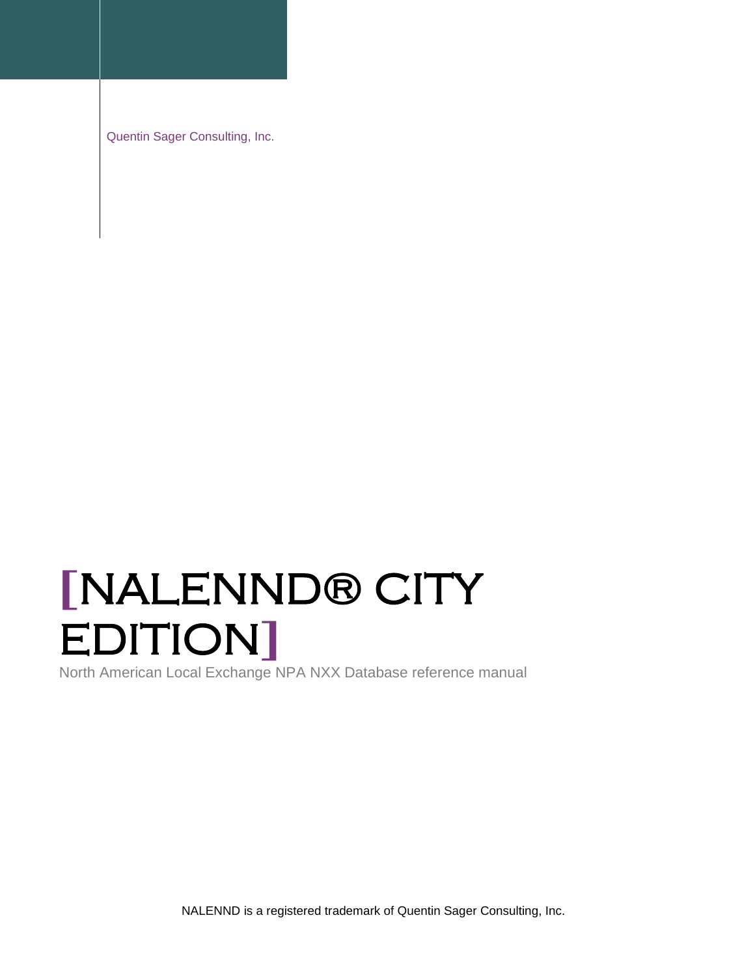Quentin Sager Consulting, Inc.

# **[**NALENND® CITY EDITION**]**

North American Local Exchange NPA NXX Database reference manual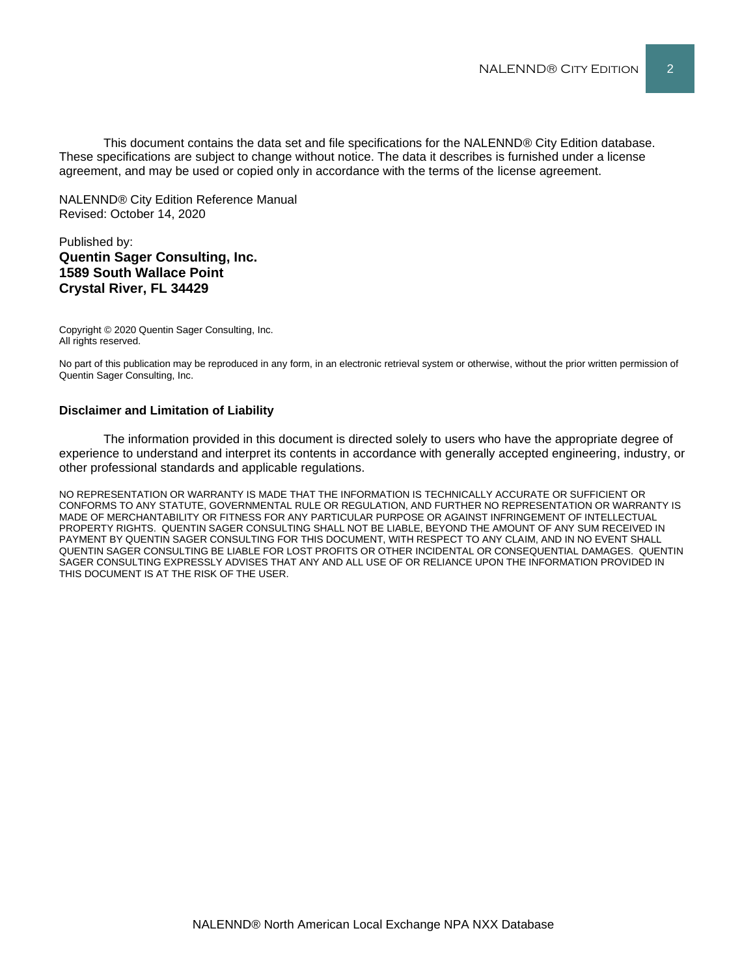This document contains the data set and file specifications for the NALENND® City Edition database. These specifications are subject to change without notice. The data it describes is furnished under a license agreement, and may be used or copied only in accordance with the terms of the license agreement.

NALENND® City Edition Reference Manual Revised: October 14, 2020

#### Published by: **Quentin Sager Consulting, Inc. 1589 South Wallace Point Crystal River, FL 34429**

Copyright © 2020 Quentin Sager Consulting, Inc. All rights reserved.

No part of this publication may be reproduced in any form, in an electronic retrieval system or otherwise, without the prior written permission of Quentin Sager Consulting, Inc.

#### **Disclaimer and Limitation of Liability**

The information provided in this document is directed solely to users who have the appropriate degree of experience to understand and interpret its contents in accordance with generally accepted engineering, industry, or other professional standards and applicable regulations.

NO REPRESENTATION OR WARRANTY IS MADE THAT THE INFORMATION IS TECHNICALLY ACCURATE OR SUFFICIENT OR CONFORMS TO ANY STATUTE, GOVERNMENTAL RULE OR REGULATION, AND FURTHER NO REPRESENTATION OR WARRANTY IS MADE OF MERCHANTABILITY OR FITNESS FOR ANY PARTICULAR PURPOSE OR AGAINST INFRINGEMENT OF INTELLECTUAL PROPERTY RIGHTS. QUENTIN SAGER CONSULTING SHALL NOT BE LIABLE, BEYOND THE AMOUNT OF ANY SUM RECEIVED IN PAYMENT BY QUENTIN SAGER CONSULTING FOR THIS DOCUMENT, WITH RESPECT TO ANY CLAIM, AND IN NO EVENT SHALL QUENTIN SAGER CONSULTING BE LIABLE FOR LOST PROFITS OR OTHER INCIDENTAL OR CONSEQUENTIAL DAMAGES. QUENTIN SAGER CONSULTING EXPRESSLY ADVISES THAT ANY AND ALL USE OF OR RELIANCE UPON THE INFORMATION PROVIDED IN THIS DOCUMENT IS AT THE RISK OF THE USER.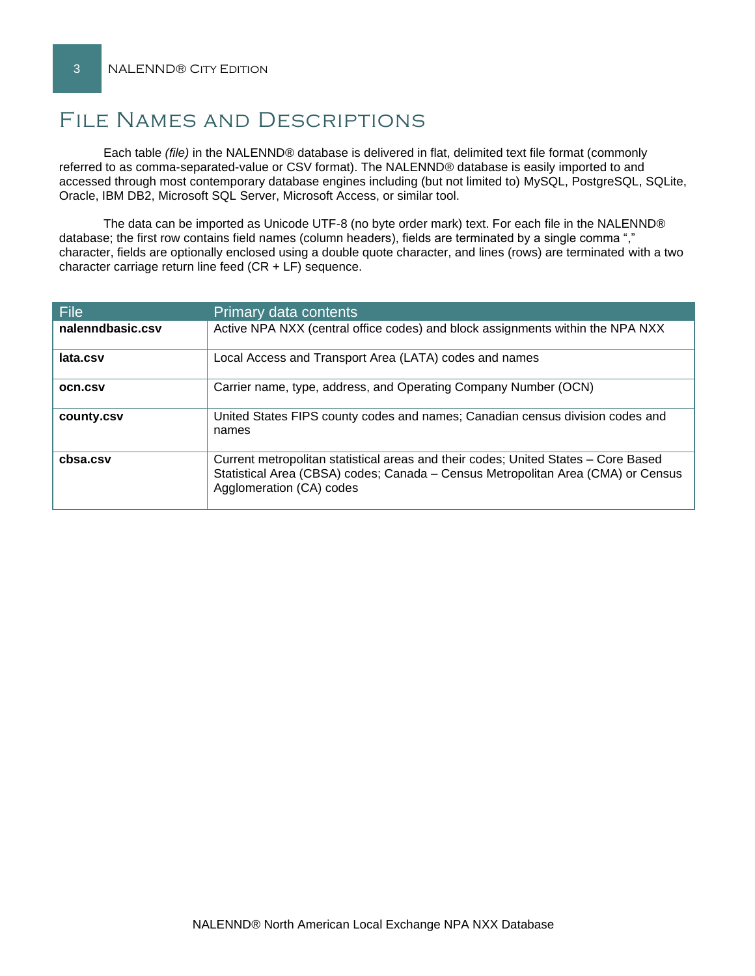# File Names and Descriptions

Each table *(file)* in the NALENND® database is delivered in flat, delimited text file format (commonly referred to as comma-separated-value or CSV format). The NALENND® database is easily imported to and accessed through most contemporary database engines including (but not limited to) MySQL, PostgreSQL, SQLite, Oracle, IBM DB2, Microsoft SQL Server, Microsoft Access, or similar tool.

The data can be imported as Unicode UTF-8 (no byte order mark) text. For each file in the NALENND® database; the first row contains field names (column headers), fields are terminated by a single comma "," character, fields are optionally enclosed using a double quote character, and lines (rows) are terminated with a two character carriage return line feed (CR + LF) sequence.

| <b>File</b>      | Primary data contents                                                                                                                                                                              |
|------------------|----------------------------------------------------------------------------------------------------------------------------------------------------------------------------------------------------|
| nalenndbasic.csv | Active NPA NXX (central office codes) and block assignments within the NPA NXX                                                                                                                     |
| lata.csv         | Local Access and Transport Area (LATA) codes and names                                                                                                                                             |
| <b>OCN.CSV</b>   | Carrier name, type, address, and Operating Company Number (OCN)                                                                                                                                    |
| county.csv       | United States FIPS county codes and names; Canadian census division codes and<br>names                                                                                                             |
| cbsa.csv         | Current metropolitan statistical areas and their codes; United States - Core Based<br>Statistical Area (CBSA) codes; Canada - Census Metropolitan Area (CMA) or Census<br>Agglomeration (CA) codes |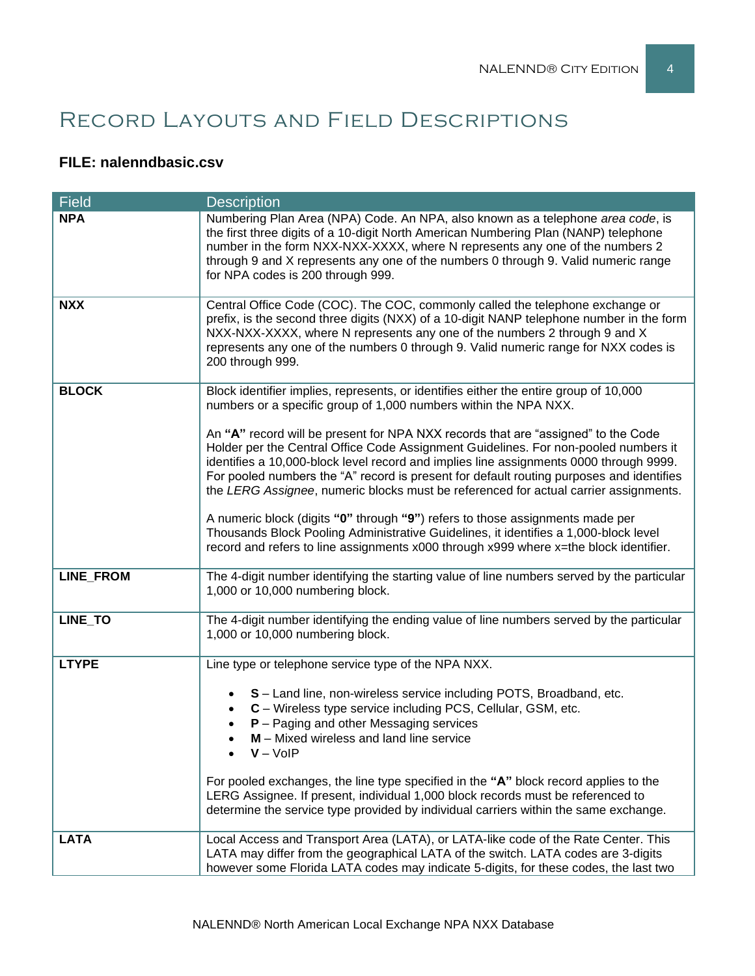# Record Layouts and Field Descriptions

### **FILE: nalenndbasic.csv**

| <b>Field</b>     | <b>Description</b>                                                                                                                                                                                                                                                                                                                                                                                                                                     |  |  |  |
|------------------|--------------------------------------------------------------------------------------------------------------------------------------------------------------------------------------------------------------------------------------------------------------------------------------------------------------------------------------------------------------------------------------------------------------------------------------------------------|--|--|--|
| <b>NPA</b>       | Numbering Plan Area (NPA) Code. An NPA, also known as a telephone area code, is<br>the first three digits of a 10-digit North American Numbering Plan (NANP) telephone<br>number in the form NXX-NXX-XXXX, where N represents any one of the numbers 2<br>through 9 and X represents any one of the numbers 0 through 9. Valid numeric range<br>for NPA codes is 200 through 999.                                                                      |  |  |  |
| <b>NXX</b>       | Central Office Code (COC). The COC, commonly called the telephone exchange or<br>prefix, is the second three digits (NXX) of a 10-digit NANP telephone number in the form<br>NXX-NXX-XXXX, where N represents any one of the numbers 2 through 9 and X<br>represents any one of the numbers 0 through 9. Valid numeric range for NXX codes is<br>200 through 999.                                                                                      |  |  |  |
| <b>BLOCK</b>     | Block identifier implies, represents, or identifies either the entire group of 10,000<br>numbers or a specific group of 1,000 numbers within the NPA NXX.                                                                                                                                                                                                                                                                                              |  |  |  |
|                  | An "A" record will be present for NPA NXX records that are "assigned" to the Code<br>Holder per the Central Office Code Assignment Guidelines. For non-pooled numbers it<br>identifies a 10,000-block level record and implies line assignments 0000 through 9999.<br>For pooled numbers the "A" record is present for default routing purposes and identifies<br>the LERG Assignee, numeric blocks must be referenced for actual carrier assignments. |  |  |  |
|                  | A numeric block (digits "0" through "9") refers to those assignments made per<br>Thousands Block Pooling Administrative Guidelines, it identifies a 1,000-block level<br>record and refers to line assignments x000 through x999 where x=the block identifier.                                                                                                                                                                                         |  |  |  |
| <b>LINE_FROM</b> | The 4-digit number identifying the starting value of line numbers served by the particular<br>1,000 or 10,000 numbering block.                                                                                                                                                                                                                                                                                                                         |  |  |  |
| LINE_TO          | The 4-digit number identifying the ending value of line numbers served by the particular<br>1,000 or 10,000 numbering block.                                                                                                                                                                                                                                                                                                                           |  |  |  |
| <b>LTYPE</b>     | Line type or telephone service type of the NPA NXX.                                                                                                                                                                                                                                                                                                                                                                                                    |  |  |  |
|                  | S - Land line, non-wireless service including POTS, Broadband, etc.<br>C - Wireless type service including PCS, Cellular, GSM, etc.<br>$P -$ Paging and other Messaging services<br>M - Mixed wireless and land line service<br>$V - VolP$<br>For pooled exchanges, the line type specified in the "A" block record applies to the                                                                                                                     |  |  |  |
|                  | LERG Assignee. If present, individual 1,000 block records must be referenced to<br>determine the service type provided by individual carriers within the same exchange.                                                                                                                                                                                                                                                                                |  |  |  |
| <b>LATA</b>      | Local Access and Transport Area (LATA), or LATA-like code of the Rate Center. This<br>LATA may differ from the geographical LATA of the switch. LATA codes are 3-digits<br>however some Florida LATA codes may indicate 5-digits, for these codes, the last two                                                                                                                                                                                        |  |  |  |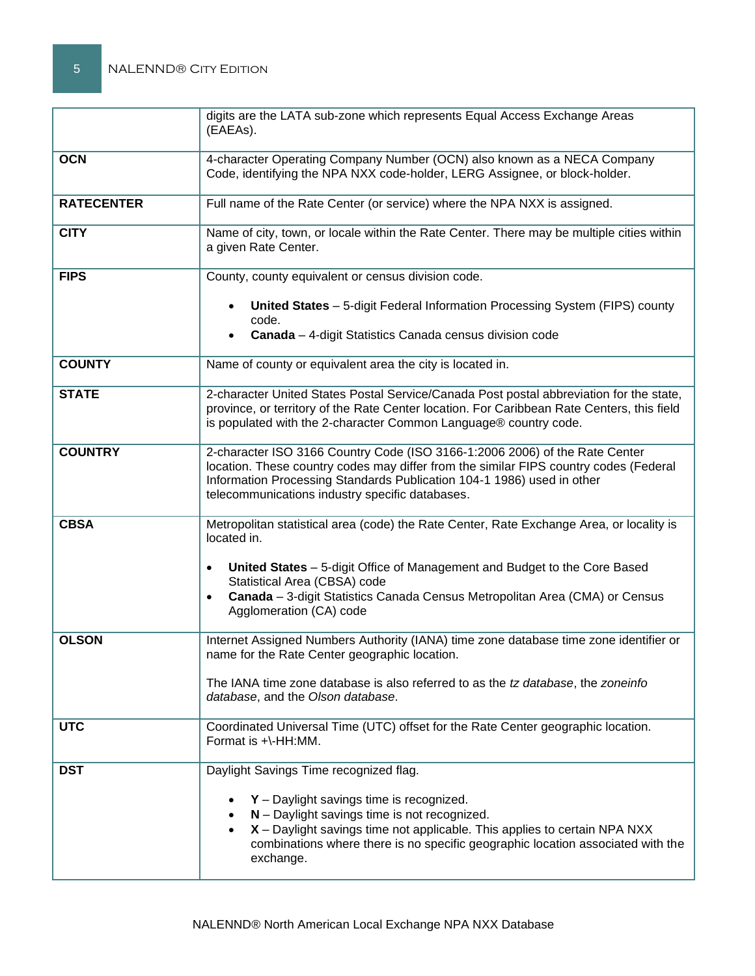|                   | digits are the LATA sub-zone which represents Equal Access Exchange Areas<br>(EAEAs).                                                                                                                                                                                                             |  |  |  |
|-------------------|---------------------------------------------------------------------------------------------------------------------------------------------------------------------------------------------------------------------------------------------------------------------------------------------------|--|--|--|
| <b>OCN</b>        | 4-character Operating Company Number (OCN) also known as a NECA Company<br>Code, identifying the NPA NXX code-holder, LERG Assignee, or block-holder.                                                                                                                                             |  |  |  |
| <b>RATECENTER</b> | Full name of the Rate Center (or service) where the NPA NXX is assigned.                                                                                                                                                                                                                          |  |  |  |
| <b>CITY</b>       | Name of city, town, or locale within the Rate Center. There may be multiple cities within<br>a given Rate Center.                                                                                                                                                                                 |  |  |  |
| <b>FIPS</b>       | County, county equivalent or census division code.                                                                                                                                                                                                                                                |  |  |  |
|                   | United States - 5-digit Federal Information Processing System (FIPS) county<br>code.<br><b>Canada</b> - 4-digit Statistics Canada census division code                                                                                                                                            |  |  |  |
| <b>COUNTY</b>     | Name of county or equivalent area the city is located in.                                                                                                                                                                                                                                         |  |  |  |
| <b>STATE</b>      | 2-character United States Postal Service/Canada Post postal abbreviation for the state,<br>province, or territory of the Rate Center location. For Caribbean Rate Centers, this field<br>is populated with the 2-character Common Language® country code.                                         |  |  |  |
| <b>COUNTRY</b>    | 2-character ISO 3166 Country Code (ISO 3166-1:2006 2006) of the Rate Center<br>location. These country codes may differ from the similar FIPS country codes (Federal<br>Information Processing Standards Publication 104-1 1986) used in other<br>telecommunications industry specific databases. |  |  |  |
| <b>CBSA</b>       | Metropolitan statistical area (code) the Rate Center, Rate Exchange Area, or locality is<br>located in.                                                                                                                                                                                           |  |  |  |
|                   | United States - 5-digit Office of Management and Budget to the Core Based<br>$\bullet$<br>Statistical Area (CBSA) code                                                                                                                                                                            |  |  |  |
|                   | Canada - 3-digit Statistics Canada Census Metropolitan Area (CMA) or Census<br>$\bullet$<br>Agglomeration (CA) code                                                                                                                                                                               |  |  |  |
| <b>OLSON</b>      | Internet Assigned Numbers Authority (IANA) time zone database time zone identifier or<br>name for the Rate Center geographic location.                                                                                                                                                            |  |  |  |
|                   | The IANA time zone database is also referred to as the tz database, the zoneinfo<br>database, and the Olson database.                                                                                                                                                                             |  |  |  |
| <b>UTC</b>        | Coordinated Universal Time (UTC) offset for the Rate Center geographic location.<br>Format is +\-HH:MM.                                                                                                                                                                                           |  |  |  |
| <b>DST</b>        | Daylight Savings Time recognized flag.                                                                                                                                                                                                                                                            |  |  |  |
|                   | $Y$ – Daylight savings time is recognized.<br>N - Daylight savings time is not recognized.<br>X - Daylight savings time not applicable. This applies to certain NPA NXX<br>combinations where there is no specific geographic location associated with the<br>exchange.                           |  |  |  |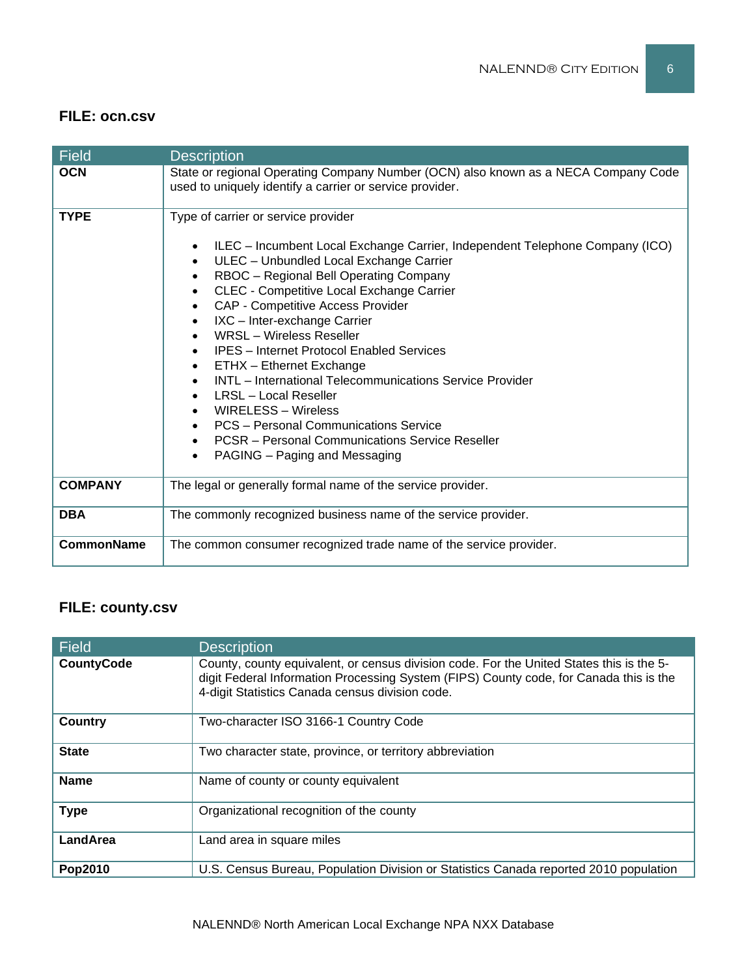#### **FILE: ocn.csv**

| <b>Field</b>      | <b>Description</b>                                                                                                                                                                                                                                                                                                                                                                                                                                                                                                                                                                                                                                                                                                             |  |
|-------------------|--------------------------------------------------------------------------------------------------------------------------------------------------------------------------------------------------------------------------------------------------------------------------------------------------------------------------------------------------------------------------------------------------------------------------------------------------------------------------------------------------------------------------------------------------------------------------------------------------------------------------------------------------------------------------------------------------------------------------------|--|
| <b>OCN</b>        | State or regional Operating Company Number (OCN) also known as a NECA Company Code<br>used to uniquely identify a carrier or service provider.                                                                                                                                                                                                                                                                                                                                                                                                                                                                                                                                                                                 |  |
| <b>TYPE</b>       | Type of carrier or service provider<br>ILEC - Incumbent Local Exchange Carrier, Independent Telephone Company (ICO)<br>ULEC - Unbundled Local Exchange Carrier<br>RBOC - Regional Bell Operating Company<br>CLEC - Competitive Local Exchange Carrier<br>$\bullet$<br>CAP - Competitive Access Provider<br>IXC - Inter-exchange Carrier<br><b>WRSL</b> - Wireless Reseller<br><b>IPES</b> – Internet Protocol Enabled Services<br>ETHX - Ethernet Exchange<br><b>INTL</b> – International Telecommunications Service Provider<br>LRSL – Local Reseller<br>WIRELESS - Wireless<br>PCS - Personal Communications Service<br><b>PCSR</b> – Personal Communications Service Reseller<br>$\bullet$<br>PAGING – Paging and Messaging |  |
| <b>COMPANY</b>    | The legal or generally formal name of the service provider.                                                                                                                                                                                                                                                                                                                                                                                                                                                                                                                                                                                                                                                                    |  |
| <b>DBA</b>        | The commonly recognized business name of the service provider.                                                                                                                                                                                                                                                                                                                                                                                                                                                                                                                                                                                                                                                                 |  |
| <b>CommonName</b> | The common consumer recognized trade name of the service provider.                                                                                                                                                                                                                                                                                                                                                                                                                                                                                                                                                                                                                                                             |  |

## **FILE: county.csv**

| Field             | <b>Description</b>                                                                                                                                                                                                                    |
|-------------------|---------------------------------------------------------------------------------------------------------------------------------------------------------------------------------------------------------------------------------------|
| <b>CountyCode</b> | County, county equivalent, or census division code. For the United States this is the 5-<br>digit Federal Information Processing System (FIPS) County code, for Canada this is the<br>4-digit Statistics Canada census division code. |
| <b>Country</b>    | Two-character ISO 3166-1 Country Code                                                                                                                                                                                                 |
| <b>State</b>      | Two character state, province, or territory abbreviation                                                                                                                                                                              |
| <b>Name</b>       | Name of county or county equivalent                                                                                                                                                                                                   |
| <b>Type</b>       | Organizational recognition of the county                                                                                                                                                                                              |
| LandArea          | Land area in square miles                                                                                                                                                                                                             |
| Pop2010           | U.S. Census Bureau, Population Division or Statistics Canada reported 2010 population                                                                                                                                                 |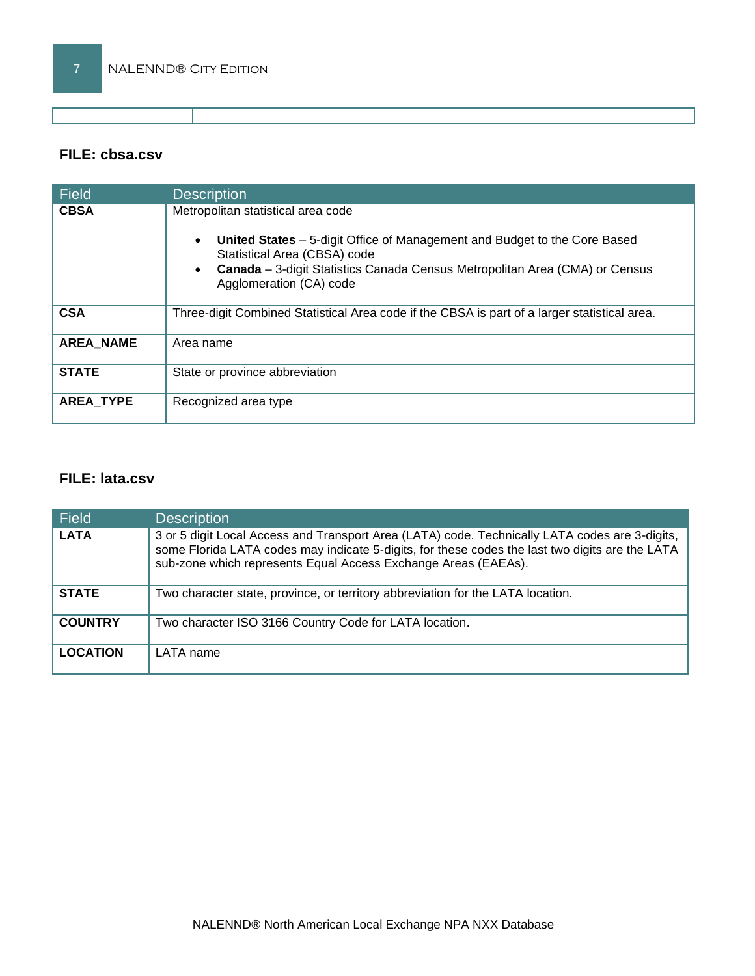#### **FILE: cbsa.csv**

| Field            | <b>Description</b>                                                                                                                                                                                                                                               |
|------------------|------------------------------------------------------------------------------------------------------------------------------------------------------------------------------------------------------------------------------------------------------------------|
| <b>CBSA</b>      | Metropolitan statistical area code<br><b>United States</b> – 5-digit Office of Management and Budget to the Core Based<br>Statistical Area (CBSA) code<br>Canada - 3-digit Statistics Canada Census Metropolitan Area (CMA) or Census<br>Agglomeration (CA) code |
| <b>CSA</b>       | Three-digit Combined Statistical Area code if the CBSA is part of a larger statistical area.                                                                                                                                                                     |
| <b>AREA NAME</b> | Area name                                                                                                                                                                                                                                                        |
| <b>STATE</b>     | State or province abbreviation                                                                                                                                                                                                                                   |
| <b>AREA TYPE</b> | Recognized area type                                                                                                                                                                                                                                             |

#### **FILE: lata.csv**

| Field           | <b>Description</b>                                                                                                                                                                                                                                                  |
|-----------------|---------------------------------------------------------------------------------------------------------------------------------------------------------------------------------------------------------------------------------------------------------------------|
| <b>LATA</b>     | 3 or 5 digit Local Access and Transport Area (LATA) code. Technically LATA codes are 3-digits,<br>some Florida LATA codes may indicate 5-digits, for these codes the last two digits are the LATA<br>sub-zone which represents Equal Access Exchange Areas (EAEAs). |
| <b>STATE</b>    | Two character state, province, or territory abbreviation for the LATA location.                                                                                                                                                                                     |
| <b>COUNTRY</b>  | Two character ISO 3166 Country Code for LATA location.                                                                                                                                                                                                              |
| <b>LOCATION</b> | LATA name                                                                                                                                                                                                                                                           |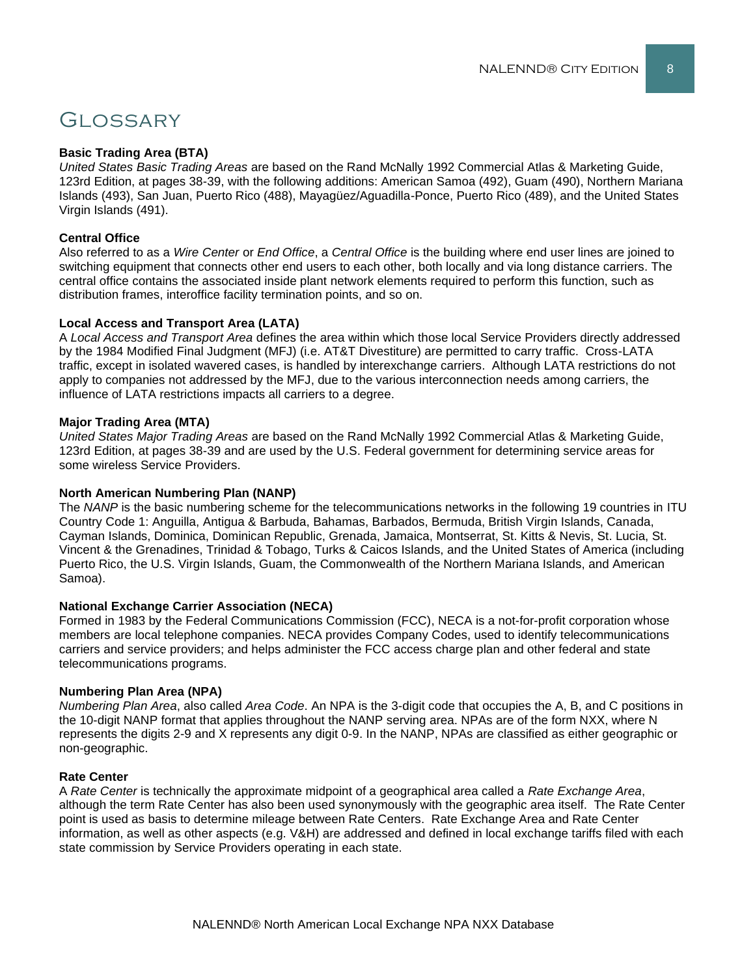# **GLOSSARY**

#### **Basic Trading Area (BTA)**

*United States Basic Trading Areas* are based on the Rand McNally 1992 Commercial Atlas & Marketing Guide, 123rd Edition, at pages 38-39, with the following additions: American Samoa (492), Guam (490), Northern Mariana Islands (493), San Juan, Puerto Rico (488), Mayagüez/Aguadilla-Ponce, Puerto Rico (489), and the United States Virgin Islands (491).

#### **Central Office**

Also referred to as a *Wire Center* or *End Office*, a *Central Office* is the building where end user lines are joined to switching equipment that connects other end users to each other, both locally and via long distance carriers. The central office contains the associated inside plant network elements required to perform this function, such as distribution frames, interoffice facility termination points, and so on.

#### **Local Access and Transport Area (LATA)**

A *Local Access and Transport Area* defines the area within which those local Service Providers directly addressed by the 1984 Modified Final Judgment (MFJ) (i.e. AT&T Divestiture) are permitted to carry traffic. Cross-LATA traffic, except in isolated wavered cases, is handled by interexchange carriers. Although LATA restrictions do not apply to companies not addressed by the MFJ, due to the various interconnection needs among carriers, the influence of LATA restrictions impacts all carriers to a degree.

#### **Major Trading Area (MTA)**

*United States Major Trading Areas* are based on the Rand McNally 1992 Commercial Atlas & Marketing Guide, 123rd Edition, at pages 38-39 and are used by the U.S. Federal government for determining service areas for some wireless Service Providers.

#### **North American Numbering Plan (NANP)**

The *NANP* is the basic numbering scheme for the telecommunications networks in the following 19 countries in ITU Country Code 1: Anguilla, Antigua & Barbuda, Bahamas, Barbados, Bermuda, British Virgin Islands, Canada, Cayman Islands, Dominica, Dominican Republic, Grenada, Jamaica, Montserrat, St. Kitts & Nevis, St. Lucia, St. Vincent & the Grenadines, Trinidad & Tobago, Turks & Caicos Islands, and the United States of America (including Puerto Rico, the U.S. Virgin Islands, Guam, the Commonwealth of the Northern Mariana Islands, and American Samoa).

#### **National Exchange Carrier Association (NECA)**

Formed in 1983 by the Federal Communications Commission (FCC), NECA is a not-for-profit corporation whose members are local telephone companies. NECA provides Company Codes, used to identify telecommunications carriers and service providers; and helps administer the FCC access charge plan and other federal and state telecommunications programs.

#### **Numbering Plan Area (NPA)**

*Numbering Plan Area*, also called *Area Code*. An NPA is the 3-digit code that occupies the A, B, and C positions in the 10-digit NANP format that applies throughout the NANP serving area. NPAs are of the form NXX, where N represents the digits 2-9 and X represents any digit 0-9. In the NANP, NPAs are classified as either geographic or non-geographic.

#### **Rate Center**

A *Rate Center* is technically the approximate midpoint of a geographical area called a *Rate Exchange Area*, although the term Rate Center has also been used synonymously with the geographic area itself. The Rate Center point is used as basis to determine mileage between Rate Centers. Rate Exchange Area and Rate Center information, as well as other aspects (e.g. V&H) are addressed and defined in local exchange tariffs filed with each state commission by Service Providers operating in each state.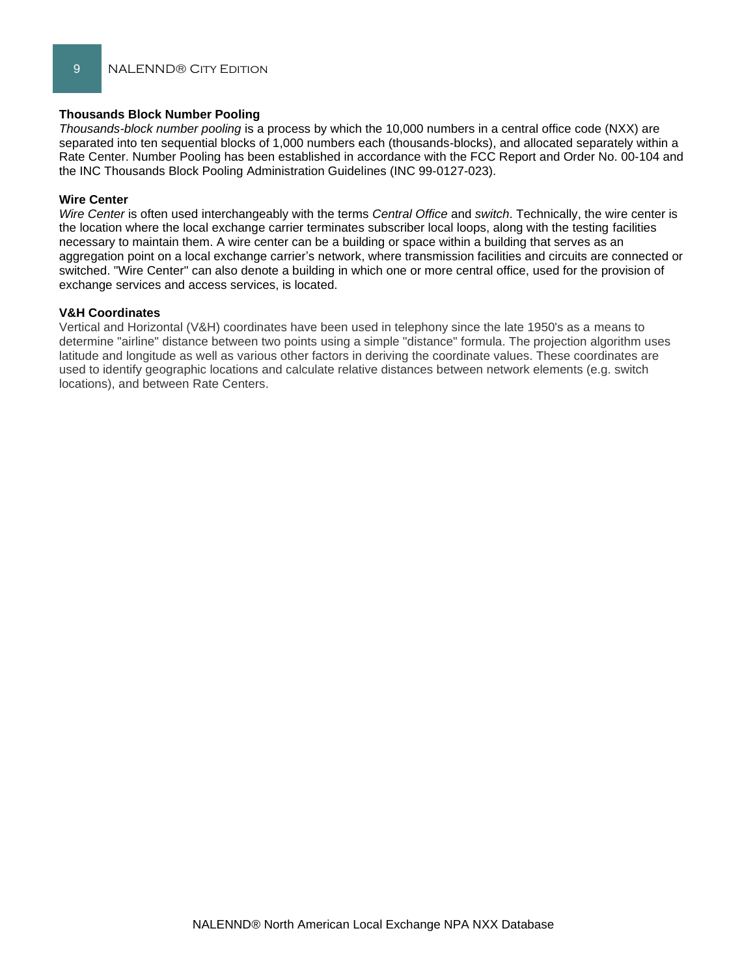#### **Thousands Block Number Pooling**

*Thousands-block number pooling* is a process by which the 10,000 numbers in a central office code (NXX) are separated into ten sequential blocks of 1,000 numbers each (thousands-blocks), and allocated separately within a Rate Center. Number Pooling has been established in accordance with the FCC Report and Order No. 00-104 and the INC Thousands Block Pooling Administration Guidelines (INC 99-0127-023).

#### **Wire Center**

*Wire Center* is often used interchangeably with the terms *Central Office* and *switch*. Technically, the wire center is the location where the local exchange carrier terminates subscriber local loops, along with the testing facilities necessary to maintain them. A wire center can be a building or space within a building that serves as an aggregation point on a local exchange carrier's network, where transmission facilities and circuits are connected or switched. "Wire Center" can also denote a building in which one or more central office, used for the provision of exchange services and access services, is located.

#### **V&H Coordinates**

Vertical and Horizontal (V&H) coordinates have been used in telephony since the late 1950's as a means to determine "airline" distance between two points using a simple "distance" formula. The projection algorithm uses latitude and longitude as well as various other factors in deriving the coordinate values. These coordinates are used to identify geographic locations and calculate relative distances between network elements (e.g. switch locations), and between Rate Centers.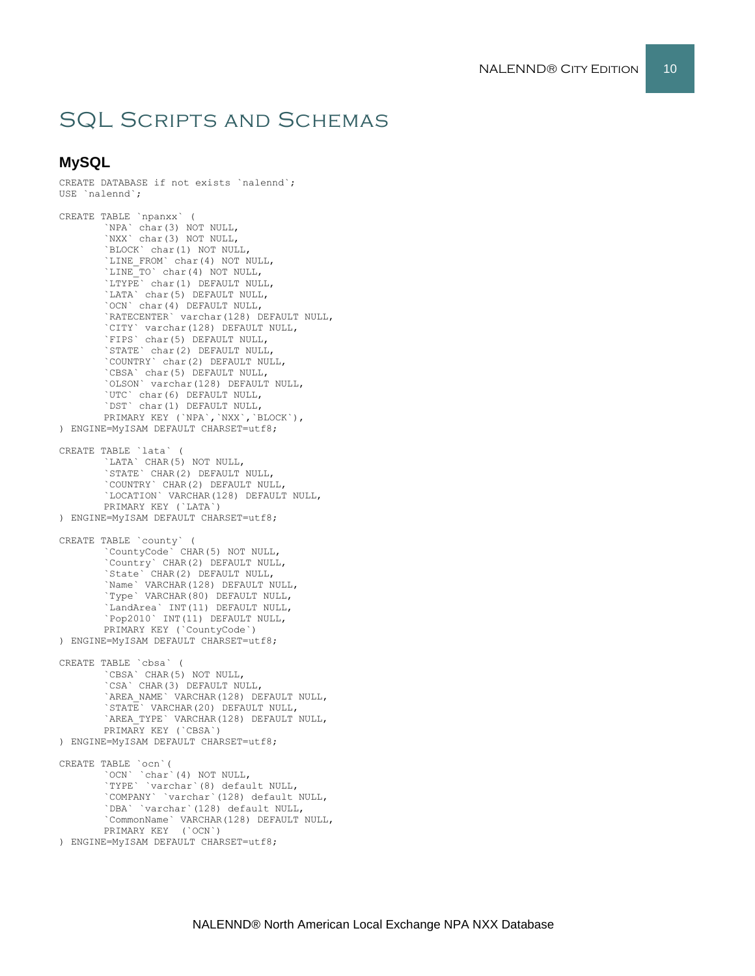# SQL Scripts and Schemas

#### **MySQL**

```
CREATE DATABASE if not exists `nalennd`;
USE `nalennd`;
CREATE TABLE `npanxx` (
        `NPA` char(3) NOT NULL,
       `NXX` char(3) NOT NULL,
       `BLOCK` char(1) NOT NULL,
        `LINE_FROM` char(4) NOT NULL,
        `LINE_TO` char(4) NOT NULL,
       `LTYPE` char(1) DEFAULT NULL,
        `LATA` char(5) DEFAULT NULL,
        `OCN` char(4) DEFAULT NULL,
       `RATECENTER` varchar(128) DEFAULT NULL,
       `CITY` varchar(128) DEFAULT NULL,
        `FIPS` char(5) DEFAULT NULL,
        `STATE` char(2) DEFAULT NULL,
       `COUNTRY` char(2) DEFAULT NULL,
        `CBSA` char(5) DEFAULT NULL,
        `OLSON` varchar(128) DEFAULT NULL,
       `UTC` char(6) DEFAULT NULL,
       `DST` char(1) DEFAULT NULL,
       PRIMARY KEY (`NPA`,`NXX`,`BLOCK`),
) ENGINE=MyISAM DEFAULT CHARSET=utf8;
CREATE TABLE `lata` (
        `LATA` CHAR(5) NOT NULL,
       `STATE` CHAR(2) DEFAULT NULL,
       `COUNTRY` CHAR(2) DEFAULT NULL,
       `LOCATION` VARCHAR(128) DEFAULT NULL,
       PRIMARY KEY (`LATA`)
) ENGINE=MyISAM DEFAULT CHARSET=utf8;
CREATE TABLE `county` (
        `CountyCode` CHAR(5) NOT NULL,
       `Country` CHAR(2) DEFAULT NULL,
        `State` CHAR(2) DEFAULT NULL,
        `Name` VARCHAR(128) DEFAULT NULL,
       `Type` VARCHAR(80) DEFAULT NULL,
        `LandArea` INT(11) DEFAULT NULL,
        `Pop2010` INT(11) DEFAULT NULL,
       PRIMARY KEY (`CountyCode`)
) ENGINE=MyISAM DEFAULT CHARSET=utf8;
CREATE TABLE `cbsa` (
        `CBSA` CHAR(5) NOT NULL,
        `CSA` CHAR(3) DEFAULT NULL,
        `AREA_NAME` VARCHAR(128) DEFAULT NULL,
       `STATE` VARCHAR(20) DEFAULT NULL,
       `AREA_TYPE` VARCHAR(128) DEFAULT NULL,
       PRIMARY KEY (`CBSA`)
) ENGINE=MyISAM DEFAULT CHARSET=utf8;
CREATE TABLE `ocn`(
        `OCN` `char`(4) NOT NULL,
        `TYPE` `varchar`(8) default NULL,
       `COMPANY` `varchar`(128) default NULL,
        `DBA` `varchar`(128) default NULL,
        `CommonName` VARCHAR(128) DEFAULT NULL,
       PRIMARY KEY (`OCN`)
) ENGINE=MyISAM DEFAULT CHARSET=utf8;
```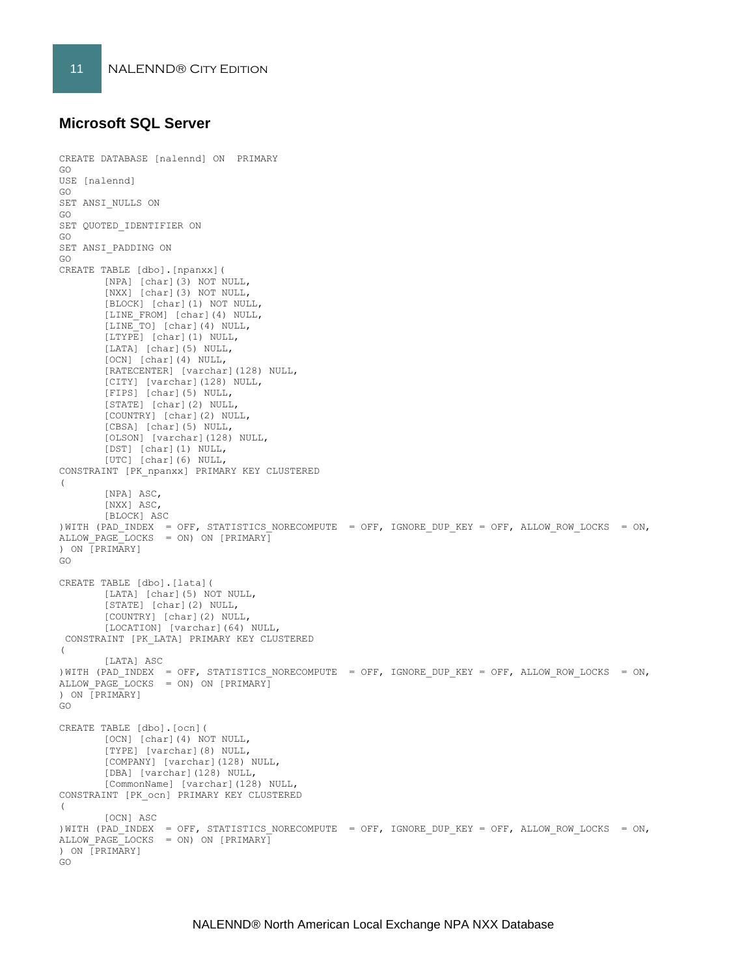#### **Microsoft SQL Server**

```
CREATE DATABASE [nalennd] ON PRIMARY 
GO
USE [nalennd]
GO
SET ANSI_NULLS ON
GO
SET QUOTED IDENTIFIER ON
GO
SET ANSI_PADDING ON
GO
CREATE TABLE [dbo].[npanxx](
       [NPA] [char](3) NOT NULL,
       [NXX] [char](3) NOT NULL,
       [BLOCK] [char](1) NOT NULL,
       [LINE_FROM] [char](4) NULL,
       [LINE_TO] [char](4) NULL,
       [LTYPE] [char](1) NULL,
       [LATA] [char](5) NULL,
       [OCN] [char](4) NULL,
       [RATECENTER] [varchar](128) NULL,
       [CITY] [varchar](128) NULL,
       [FIPS] [char](5) NULL,
       [STATE] [char](2) NULL,
       [COUNTRY] [char](2) NULL,
       [CBSA] [char](5) NULL,
       [OLSON] [varchar](128) NULL,
       [DST] [char](1) NULL,
       [UTC] [char](6) NULL,
CONSTRAINT [PK_npanxx] PRIMARY KEY CLUSTERED 
\left([NPA] ASC,
       [NXX] ASC,
       [BLOCK] ASC
)WITH (PAD INDEX = OFF, STATISTICS NORECOMPUTE = OFF, IGNORE DUP KEY = OFF, ALLOW ROW LOCKS = ON,
ALLOW_PAGE_LOCKS = ON) ON [PRIMARY]
) ON [PRIMARY]
GO
CREATE TABLE [dbo].[lata](
       [LATA] [char](5) NOT NULL,
       [STATE] [char](2) NULL,
       [COUNTRY] [char](2) NULL,
       [LOCATION] [varchar](64) NULL,
CONSTRAINT [PK_LATA] PRIMARY KEY CLUSTERED 
(
       [LATA] ASC
)WITH (PAD INDEX = OFF, STATISTICS NORECOMPUTE = OFF, IGNORE DUP KEY = OFF, ALLOW ROW LOCKS = ON,
ALLOW PAGE LOCKS = ON) ON [PRIMARY]) ON [PRIMARY]
GO
CREATE TABLE [dbo].[ocn](
       [OCN] [char](4) NOT NULL,
       [TYPE] [varchar](8) NULL,
       [COMPANY] [varchar](128) NULL,
       [DBA] [varchar](128) NULL,
       [CommonName] [varchar](128) NULL,
CONSTRAINT [PK_ocn] PRIMARY KEY CLUSTERED 
\left([OCN] ASC
)WITH (PAD INDEX = OFF, STATISTICS NORECOMPUTE = OFF, IGNORE DUP KEY = OFF, ALLOW ROW LOCKS = ON,
ALLOW PAGE LOCKS = ON) ON [PRIMARY]) ON [PRIMARY]
GO
```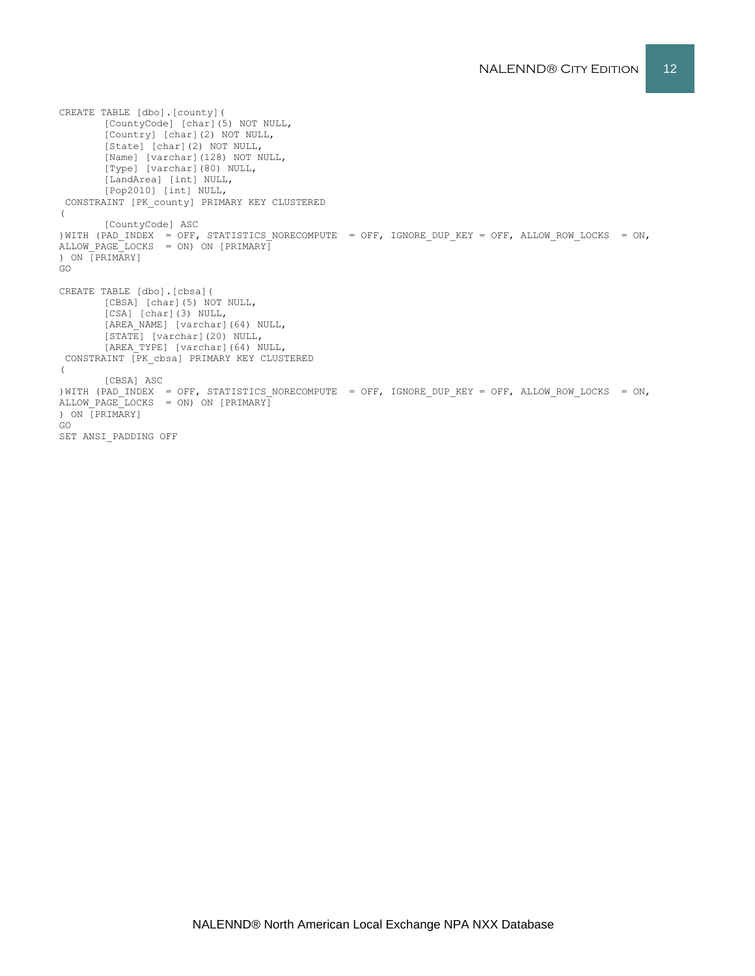```
CREATE TABLE [dbo].[county](
       [CountyCode] [char](5) NOT NULL,
       [Country] [char](2) NOT NULL,
       [State] [char](2) NOT NULL,
        [Name] [varchar](128) NOT NULL,
        [Type] [varchar](80) NULL,
       [LandArea] [int] NULL,
       [Pop2010] [int] NULL,
CONSTRAINT [PK_county] PRIMARY KEY CLUSTERED 
(
       [CountyCode] ASC
)WITH (PAD INDEX = OFF, STATISTICS NORECOMPUTE = OFF, IGNORE DUP KEY = OFF, ALLOW ROW LOCKS = ON,
ALLOW_PAGE_LOCKS = ON) ON [PRIMARY]
) ON [PRIMARY]
GO
CREATE TABLE [dbo].[cbsa](
       [CBSA] [char](5) NOT NULL,
       [CSA] [char](3) NULL,
       [AREA NAME] [varchar](64) NULL,
       [STATE] [varchar](20) NULL,
       [AREA_TYPE] [varchar](64) NULL,
CONSTRAINT [PK_cbsa] PRIMARY KEY CLUSTERED 
(
       [CBSA] ASC
)WITH (PAD INDEX = OFF, STATISTICS NORECOMPUTE = OFF, IGNORE DUP KEY = OFF, ALLOW ROW LOCKS = ON,
ALLOW_PAGE_LOCKS = ON) ON [PRIMARY]
) ON [PRIMARY]
GO
SET ANSI_PADDING OFF
```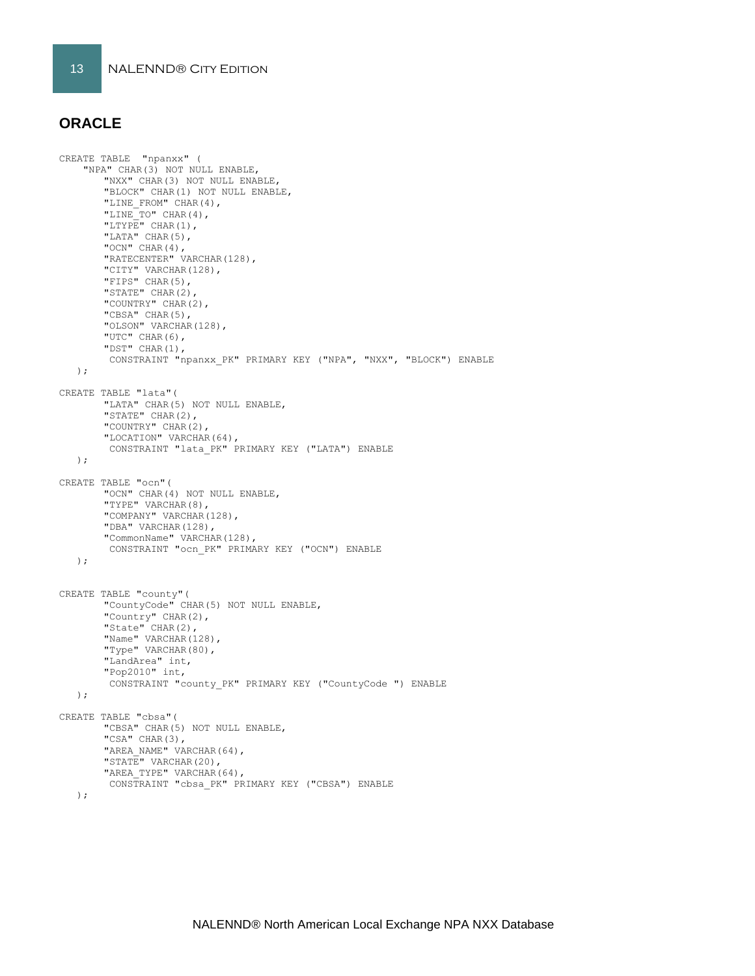#### **ORACLE**

```
CREATE TABLE "npanxx" (
     "NPA" CHAR(3) NOT NULL ENABLE, 
       "NXX" CHAR(3) NOT NULL ENABLE, 
       "BLOCK" CHAR(1) NOT NULL ENABLE, 
       "LINE_FROM" CHAR(4), 
       "LINE_TO" CHAR(4), 
       "LTYPE" CHAR(1), 
       "LATA" CHAR(5), 
        "OCN" CHAR(4), 
        "RATECENTER" VARCHAR(128), 
       "CITY" VARCHAR(128), 
       "FIPS" CHAR(5), 
        "STATE" CHAR(2), 
        "COUNTRY" CHAR(2), 
        "CBSA" CHAR(5), 
        "OLSON" VARCHAR(128), 
        "UTC" CHAR(6), 
       "DST" CHAR(1), 
        CONSTRAINT "npanxx_PK" PRIMARY KEY ("NPA", "NXX", "BLOCK") ENABLE
    );
CREATE TABLE "lata"(
        "LATA" CHAR(5) NOT NULL ENABLE,
        "STATE" CHAR(2),
       "COUNTRY" CHAR(2),
       "LOCATION" VARCHAR(64),
        CONSTRAINT "lata_PK" PRIMARY KEY ("LATA") ENABLE
    );
CREATE TABLE "ocn"(
        "OCN" CHAR(4) NOT NULL ENABLE,
       "TYPE" VARCHAR(8),
       "COMPANY" VARCHAR(128),
        "DBA" VARCHAR(128),
        "CommonName" VARCHAR(128),
        CONSTRAINT "ocn_PK" PRIMARY KEY ("OCN") ENABLE
    );
CREATE TABLE "county"(
        "CountyCode" CHAR(5) NOT NULL ENABLE,
        "Country" CHAR(2),
       "State" CHAR(2),
        "Name" VARCHAR(128),
        "Type" VARCHAR(80),
       "LandArea" int,
       "Pop2010" int,
        CONSTRAINT "county_PK" PRIMARY KEY ("CountyCode ") ENABLE
    );
CREATE TABLE "cbsa"(
        "CBSA" CHAR(5) NOT NULL ENABLE,
        "CSA" CHAR(3),
        "AREA NAME" VARCHAR(64),
        "STATE" VARCHAR(20),
        "AREA TYPE" VARCHAR(64),
        CONSTRAINT "cbsa_PK" PRIMARY KEY ("CBSA") ENABLE
    );
```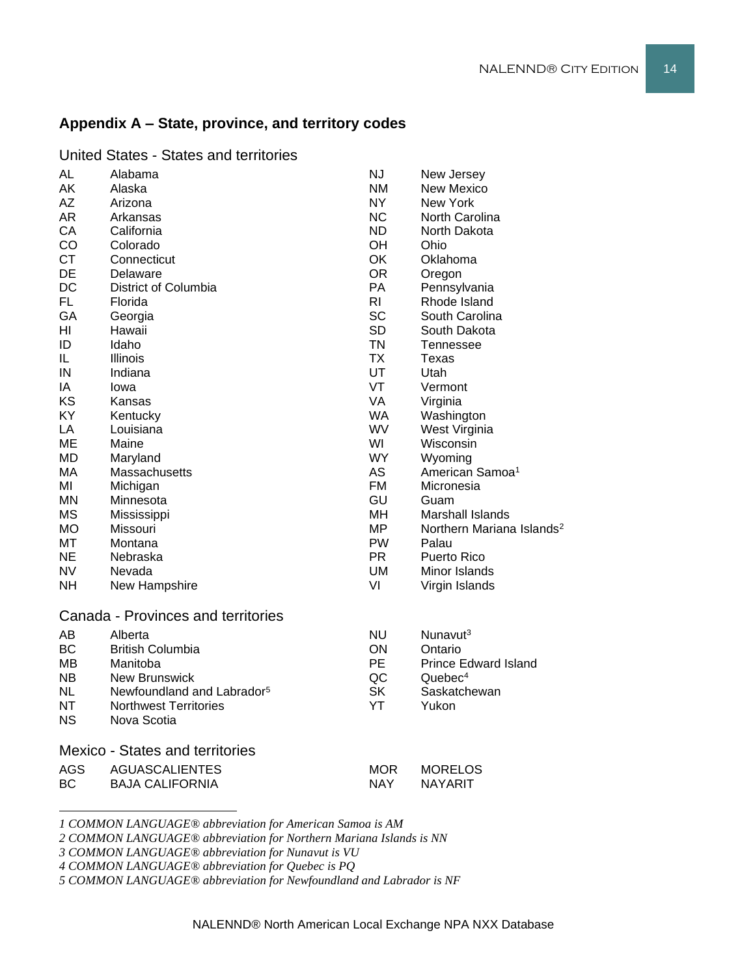#### **Appendix A – State, province, and territory codes**

| <b>AL</b>  | Alabama                                | <b>NJ</b>      | New Jersey                            |
|------------|----------------------------------------|----------------|---------------------------------------|
| AK         | Alaska                                 | <b>NM</b>      | <b>New Mexico</b>                     |
| <b>AZ</b>  | Arizona                                | NY             | New York                              |
| <b>AR</b>  | Arkansas                               | <b>NC</b>      | North Carolina                        |
| CA         | California                             | <b>ND</b>      | North Dakota                          |
| CO         | Colorado                               | OH             | Ohio                                  |
| <b>CT</b>  | Connecticut                            | OK             | Oklahoma                              |
| DE         | Delaware                               | <b>OR</b>      | Oregon                                |
| DC         | District of Columbia                   | PA             | Pennsylvania                          |
| FL.        | Florida                                | R <sub>l</sub> | Rhode Island                          |
| GA         | Georgia                                | <b>SC</b>      | South Carolina                        |
| HI         | Hawaii                                 | <b>SD</b>      | South Dakota                          |
| ID         | Idaho                                  | <b>TN</b>      | Tennessee                             |
| IL         | <b>Illinois</b>                        | <b>TX</b>      | Texas                                 |
| IN         | Indiana                                | UT             | Utah                                  |
| IA         | lowa                                   | VT             | Vermont                               |
| KS         | Kansas                                 | VA             | Virginia                              |
| KY         | Kentucky                               | <b>WA</b>      | Washington                            |
| LA         | Louisiana                              | WV             | West Virginia                         |
| ME         | Maine                                  | WI             | Wisconsin                             |
| <b>MD</b>  | Maryland                               | <b>WY</b>      | Wyoming                               |
| МA         | Massachusetts                          | AS             | American Samoa <sup>1</sup>           |
| MI         | Michigan                               | <b>FM</b>      | Micronesia                            |
| MN         | Minnesota                              | GU             | Guam                                  |
| <b>MS</b>  | Mississippi                            | MH             | <b>Marshall Islands</b>               |
| <b>MO</b>  | Missouri                               | <b>MP</b>      | Northern Mariana Islands <sup>2</sup> |
| MT         | Montana                                | <b>PW</b>      | Palau                                 |
| <b>NE</b>  | Nebraska                               | <b>PR</b>      | Puerto Rico                           |
| NV.        | Nevada                                 | UM             | Minor Islands                         |
| <b>NH</b>  | New Hampshire                          | VI             | Virgin Islands                        |
|            | Canada - Provinces and territories     |                |                                       |
| <b>AB</b>  | Alberta                                | <b>NU</b>      | Nunavut <sup>3</sup>                  |
| <b>BC</b>  | <b>British Columbia</b>                | ON             | Ontario                               |
| MВ         | Manitoba                               | <b>PE</b>      | <b>Prince Edward Island</b>           |
| <b>NB</b>  | <b>New Brunswick</b>                   | QC             | Quebec <sup>4</sup>                   |
| <b>NL</b>  | Newfoundland and Labrador <sup>5</sup> | <b>SK</b>      | Saskatchewan                          |
| <b>NT</b>  | <b>Northwest Territories</b>           | YT             | Yukon                                 |
| <b>NS</b>  | Nova Scotia                            |                |                                       |
|            | <b>Mexico - States and territories</b> |                |                                       |
| <b>AGS</b> | <b>AGUASCALIENTES</b>                  | <b>MOR</b>     | <b>MORELOS</b>                        |
|            |                                        |                |                                       |

United States - States and territories

*1 COMMON LANGUAGE® abbreviation for American Samoa is AM*

*2 COMMON LANGUAGE® abbreviation for Northern Mariana Islands is NN*

BC BAJA CALIFORNIA NAY NAYARIT

*3 COMMON LANGUAGE® abbreviation for Nunavut is VU*

*4 COMMON LANGUAGE® abbreviation for Quebec is PQ*

*5 COMMON LANGUAGE® abbreviation for Newfoundland and Labrador is NF*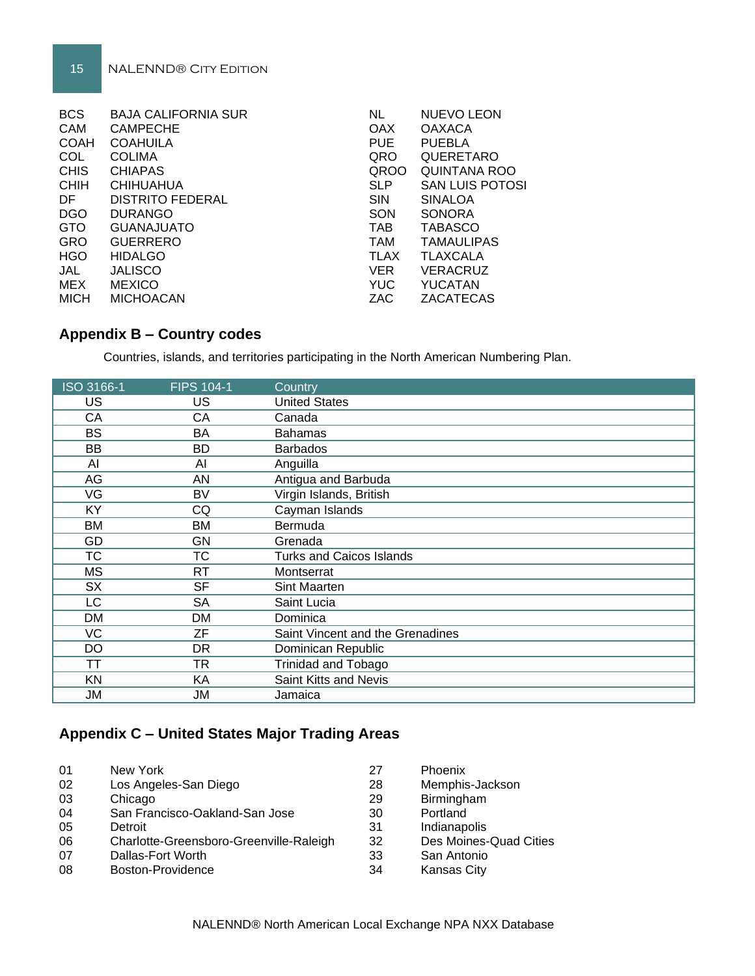| <b>BCS</b>  | <b>BAJA CALIFORNIA SUR</b> | <b>NL</b>   | <b>NUEVO LEON</b>      |
|-------------|----------------------------|-------------|------------------------|
| CAM         | <b>CAMPECHE</b>            | OAX         | <b>OAXACA</b>          |
| <b>COAH</b> | <b>COAHUILA</b>            | <b>PUE</b>  | <b>PUEBLA</b>          |
| COL         | <b>COLIMA</b>              | QRO         | QUERETARO              |
| <b>CHIS</b> | <b>CHIAPAS</b>             | QROO        | QUINTANA ROO           |
| <b>CHIH</b> | <b>CHIHUAHUA</b>           | <b>SLP</b>  | <b>SAN LUIS POTOSI</b> |
| DF.         | <b>DISTRITO FEDERAL</b>    | <b>SIN</b>  | <b>SINALOA</b>         |
| <b>DGO</b>  | <b>DURANGO</b>             | SON         | <b>SONORA</b>          |
| <b>GTO</b>  | <b>GUANAJUATO</b>          | <b>TAB</b>  | <b>TABASCO</b>         |
| GRO         | <b>GUERRERO</b>            | <b>TAM</b>  | <b>TAMAULIPAS</b>      |
| <b>HGO</b>  | <b>HIDALGO</b>             | <b>TLAX</b> | <b>TLAXCALA</b>        |
| JAL         | <b>JALISCO</b>             | <b>VER</b>  | <b>VERACRUZ</b>        |
| MEX         | <b>MEXICO</b>              | <b>YUC</b>  | <b>YUCATAN</b>         |
| <b>MICH</b> | <b>MICHOACAN</b>           | ZAC         | ZACATECAS              |

#### **Appendix B – Country codes**

Countries, islands, and territories participating in the North American Numbering Plan.

| ISO 3166-1 | <b>FIPS 104-1</b> | Country                          |
|------------|-------------------|----------------------------------|
| US         | US                | <b>United States</b>             |
| CA         | CA                | Canada                           |
| <b>BS</b>  | BA                | <b>Bahamas</b>                   |
| BB         | BD                | <b>Barbados</b>                  |
| AI         | AI                | Anguilla                         |
| AG         | AN                | Antigua and Barbuda              |
| VG         | <b>BV</b>         | Virgin Islands, British          |
| KY         | CQ                | Cayman Islands                   |
| <b>BM</b>  | ВM                | Bermuda                          |
| GD         | GN                | Grenada                          |
| <b>TC</b>  | <b>TC</b>         | <b>Turks and Caicos Islands</b>  |
| <b>MS</b>  | RT                | Montserrat                       |
| <b>SX</b>  | <b>SF</b>         | Sint Maarten                     |
| LC         | <b>SA</b>         | Saint Lucia                      |
| DM         | DM                | Dominica                         |
| VC         | ZF                | Saint Vincent and the Grenadines |
| DO         | <b>DR</b>         | Dominican Republic               |
| ТT         | <b>TR</b>         | <b>Trinidad and Tobago</b>       |
| <b>KN</b>  | KA                | Saint Kitts and Nevis            |
| JM         | JM                | Jamaica                          |

#### **Appendix C – United States Major Trading Areas**

| 01 | New York                                | 27 | Phoenix                |
|----|-----------------------------------------|----|------------------------|
| 02 | Los Angeles-San Diego                   | 28 | Memphis-Jackson        |
| 03 | Chicago                                 | 29 | Birmingham             |
| 04 | San Francisco-Oakland-San Jose          | 30 | Portland               |
| 05 | Detroit                                 | 31 | Indianapolis           |
| 06 | Charlotte-Greensboro-Greenville-Raleigh | 32 | Des Moines-Quad Cities |
| 07 | Dallas-Fort Worth                       | 33 | San Antonio            |
| 08 | Boston-Providence                       | 34 | <b>Kansas City</b>     |